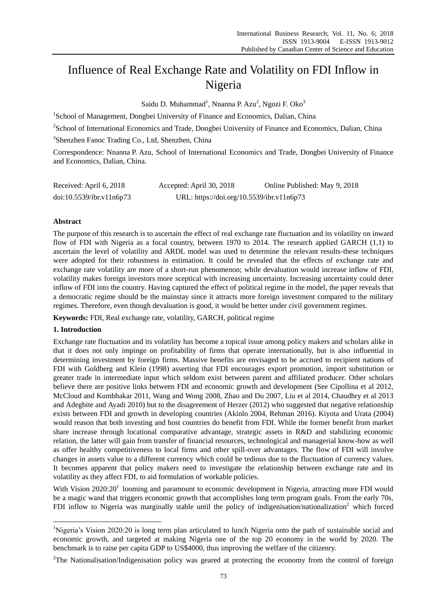# Influence of Real Exchange Rate and Volatility on FDI Inflow in Nigeria

Saidu D. Muhammad<sup>1</sup>, Nnanna P. Azu<sup>2</sup>, Ngozi F. Oko<sup>3</sup>

<sup>1</sup>School of Management, Dongbei University of Finance and Economics, Dalian, China

<sup>2</sup>School of International Economics and Trade, Dongbei University of Finance and Economics, Dalian, China

3 Shenzhen Fanoc Trading Co., Ltd, Shenzhen, China

Correspondence: Nnanna P. Azu, School of International Economics and Trade, Dongbei University of Finance and Economics, Dalian, China.

| Received: April 6, 2018  | Accepted: April 30, 2018                  | Online Published: May 9, 2018 |
|--------------------------|-------------------------------------------|-------------------------------|
| doi:10.5539/ibr.v11n6p73 | URL: https://doi.org/10.5539/ibr.v11n6p73 |                               |

# **Abstract**

The purpose of this research is to ascertain the effect of real exchange rate fluctuation and its volatility on inward flow of FDI with Nigeria as a focal country, between 1970 to 2014. The research applied GARCH (1,1) to ascertain the level of volatility and ARDL model was used to determine the relevant results-these techniques were adopted for their robustness in estimation. It could be revealed that the effects of exchange rate and exchange rate volatility are more of a short-run phenomenon; while devaluation would increase inflow of FDI, volatility makes foreign investors more sceptical with increasing uncertainty. Increasing uncertainty could deter inflow of FDI into the country. Having captured the effect of political regime in the model, the paper reveals that a democratic regime should be the mainstay since it attracts more foreign investment compared to the military regimes. Therefore, even though devaluation is good, it would be better under civil government regimes.

**Keywords:** FDI, Real exchange rate, volatility, GARCH, political regime

## **1. Introduction**

-

Exchange rate fluctuation and its volatility has become a topical issue among policy makers and scholars alike in that it does not only impinge on profitability of firms that operate internationally, but is also influential in determining investment by foreign firms. Massive benefits are envisaged to be accrued to recipient nations of FDI with Goldberg and Klein (1998) asserting that FDI encourages export promotion, import substitution or greater trade in intermediate input which seldom exist between parent and affiliated producer. Other scholars believe there are positive links between FDI and economic growth and development (See Cipollina et al 2012, McCloud and Kumbhakar 2011, Wang and Wong 2008, Zhao and Du 2007, Liu et al 2014, Chaudhry et al 2013 and Adegbite and Ayadi 2010) but to the disagreement of Herzer (2012) who suggested that negative relationship exists between FDI and growth in developing countries (Akinlo 2004, Rehman 2016). Kiyota and Urata (2004) would reason that both investing and host countries do benefit from FDI. While the former benefit from market share increase through locational comparative advantage, strategic assets in R&D and stabilizing economic relation, the latter will gain from transfer of financial resources, technological and managerial know-how as well as offer healthy competitiveness to local firms and other spill-over advantages. The flow of FDI will involve changes in assets value to a different currency which could be tedious due to the fluctuation of currency values. It becomes apparent that policy makers need to investigate the relationship between exchange rate and its volatility as they affect FDI, to aid formulation of workable policies.

With Vision 2020:20<sup>1</sup> looming and paramount to economic development in Nigeria, attracting more FDI would be a magic wand that triggers economic growth that accomplishes long term program goals. From the early 70s, FDI inflow to Nigeria was marginally stable until the policy of indigenisation/nationalization<sup>2</sup> which forced

<sup>&</sup>lt;sup>1</sup>Nigeria's Vision 2020:20 is long term plan articulated to lunch Nigeria onto the path of sustainable social and economic growth, and targeted at making Nigeria one of the top 20 economy in the world by 2020. The benchmark is to raise per capita GDP to US\$4000, thus improving the welfare of the citizenry.

<sup>&</sup>lt;sup>2</sup>The Nationalisation/Indigenisation policy was geared at protecting the economy from the control of foreign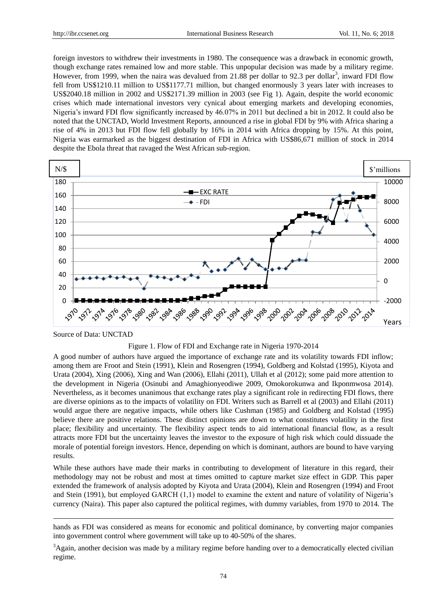foreign investors to withdrew their investments in 1980. The consequence was a drawback in economic growth, though exchange rates remained low and more stable. This unpopular decision was made by a military regime. However, from 1999, when the naira was devalued from 21.88 per dollar to 92.3 per dollar<sup>3</sup>, inward FDI flow fell from US\$1210.11 million to US\$1177.71 million, but changed enormously 3 years later with increases to US\$2040.18 million in 2002 and US\$2171.39 million in 2003 (see Fig 1). Again, despite the world economic crises which made international investors very cynical about emerging markets and developing economies, Nigeria's inward FDI flow significantly increased by 46.07% in 2011 but declined a bit in 2012. It could also be noted that the UNCTAD, World Investment Reports, announced a rise in global FDI by 9% with Africa sharing a rise of 4% in 2013 but FDI flow fell globally by 16% in 2014 with Africa dropping by 15%. At this point, Nigeria was earmarked as the biggest destination of FDI in Africa with US\$86,671 million of stock in 2014 despite the Ebola threat that ravaged the West African sub-region.



Source of Data: UNCTAD

-



A good number of authors have argued the importance of exchange rate and its volatility towards FDI inflow; among them are Froot and Stein (1991), Klein and Rosengren (1994), Goldberg and Kolstad (1995), Kiyota and Urata (2004), Xing (2006), Xing and Wan (2006), Ellahi (2011), Ullah et al (2012); some paid more attention to the development in Nigeria (Osinubi and Amaghionyeodiwe 2009, Omokorokunwa and Ikponmwosa 2014). Nevertheless, as it becomes unanimous that exchange rates play a significant role in redirecting FDI flows, there are diverse opinions as to the impacts of volatility on FDI. Writers such as Barrell et al (2003) and Ellahi (2011) would argue there are negative impacts, while others like Cushman (1985) and Goldberg and Kolstad (1995) believe there are positive relations. These distinct opinions are down to what constitutes volatility in the first place; flexibility and uncertainty. The flexibility aspect tends to aid international financial flow, as a result attracts more FDI but the uncertainty leaves the investor to the exposure of high risk which could dissuade the morale of potential foreign investors. Hence, depending on which is dominant, authors are bound to have varying results.

While these authors have made their marks in contributing to development of literature in this regard, their methodology may not be robust and most at times omitted to capture market size effect in GDP. This paper extended the framework of analysis adopted by Kiyota and Urata (2004), Klein and Rosengren (1994) and Froot and Stein (1991), but employed GARCH (1,1) model to examine the extent and nature of volatility of Nigeria's currency (Naira). This paper also captured the political regimes, with dummy variables, from 1970 to 2014. The

hands as FDI was considered as means for economic and political dominance, by converting major companies into government control where government will take up to 40-50% of the shares.

<sup>&</sup>lt;sup>3</sup>Again, another decision was made by a military regime before handing over to a democratically elected civilian regime.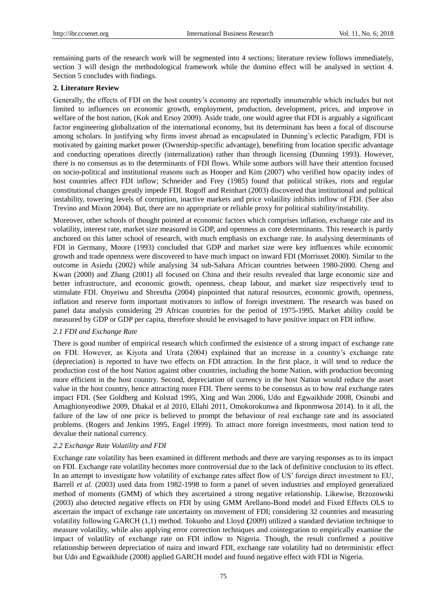remaining parts of the research work will be segmented into 4 sections; literature review follows immediately, section 3 will design the methodological framework while the domino effect will be analysed in section 4. Section 5 concludes with findings.

## **2. Literature Review**

Generally, the effects of FDI on the host country's economy are reportedly innumerable which includes but not limited to influences on economic growth, employment, production, development, prices, and improve in welfare of the host nation, (Kok and Ersoy 2009). Aside trade, one would agree that FDI is arguably a significant factor engineering globalization of the international economy, but its determinant has been a focal of discourse among scholars. In justifying why firms invest abroad as encapsulated in Dunning's eclectic Paradigm, FDI is motivated by gaining market power (Ownership-specific advantage), benefiting from location specific advantage and conducting operations directly (internalization) rather than through licensing (Dunning 1993). However, there is no consensus as to the determinants of FDI flows. While some authors will have their attention focused on socio-political and institutional reasons such as Hooper and Kim (2007) who verified how opacity index of host countries affect FDI inflow; Schneider and Frey (1985) found that political strikes, riots and regular constitutional changes greatly impede FDI. Rogoff and Reinhart (2003) discovered that institutional and political instability, towering levels of corruption, inactive markets and price volatility inhibits inflow of FDI. (See also Trevino and Mixon 2004). But, there are no appropriate or reliable proxy for political stability/instability.

Moreover, other schools of thought pointed at economic factors which comprises inflation, exchange rate and its volatility, interest rate, market size measured in GDP, and openness as core determinants. This research is partly anchored on this latter school of research, with much emphasis on exchange rate. In analysing determinants of FDI in Germany, Moore (1993) concluded that GDP and market size were key influences while economic growth and trade openness were discovered to have much impact on inward FDI (Morrisset 2000). Similar to the outcome in Asiedu (2002) while analysing 34 sub-Sahara African countries between 1980-2000. Cheng and Kwan (2000) and Zhang (2001) all focused on China and their results revealed that large economic size and better infrastructure, and economic growth, openness, cheap labour, and market size respectively tend to stimulate FDI. Onyeiwu and Shrestha (2004) pinpointed that natural resources, economic growth, openness, inflation and reserve form important motivators to inflow of foreign investment. The research was based on panel data analysis considering 29 African countries for the period of 1975-1995. Market ability could be measured by GDP or GDP per capita, therefore should be envisaged to have positive impact on FDI inflow.

## *2.1 FDI and Exchange Rate*

There is good number of empirical research which confirmed the existence of a strong impact of exchange rate on FDI. However, as Kiyota and Urata (2004) explained that an increase in a country's exchange rate (depreciation) is reported to have two effects on FDI attraction. In the first place, it will tend to reduce the production cost of the host Nation against other countries, including the home Nation, with production becoming more efficient in the host country. Second, depreciation of currency in the host Nation would reduce the asset value in the host country, hence attracting more FDI. There seems to be consensus as to how real exchange rates impact FDI. (See Goldberg and Kolstad 1995, Xing and Wan 2006, Udo and Egwaikhide 2008, Osinubi and Amaghionyeodiwe 2009, Dhakal et al 2010, Ellahi 2011, Omokorokunwa and Ikponmwosa 2014). In it all, the failure of the law of one price is believed to prompt the behaviour of real exchange rate and its associated problems. (Rogers and Jenkins 1995, Engel 1999). To attract more foreign investments, most nation tend to devalue their national currency.

## *2.2 Exchange Rate Volatility and FDI*

Exchange rate volatility has been examined in different methods and there are varying responses as to its impact on FDI. Exchange rate volatility becomes more controversial due to the lack of definitive conclusion to its effect. In an attempt to investigate how volatility of exchange rates affect flow of US' foreign direct investment to EU, Barrell *et al.* (2003) used data from 1982-1998 to form a panel of seven industries and employed generalized method of moments (GMM) of which they ascertained a strong negative relationship. Likewise, Brzozowski (2003) also detected negative effects on FDI by using GMM Arellano-Bond model and Fixed Effects OLS to ascertain the impact of exchange rate uncertainty on movement of FDI; considering 32 countries and measuring volatility following GARCH (1,1) method. Tokunbo and Lloyd **(**2009) utilized a standard deviation technique to measure volatility, while also applying error correction techniques and cointegration to empirically examine the impact of volatility of exchange rate on FDI inflow to Nigeria. Though, the result confirmed a positive relationship between depreciation of naira and inward FDI, exchange rate volatility had no deterministic effect but Udo and Egwaikhide (2008) applied GARCH model and found negative effect with FDI in Nigeria.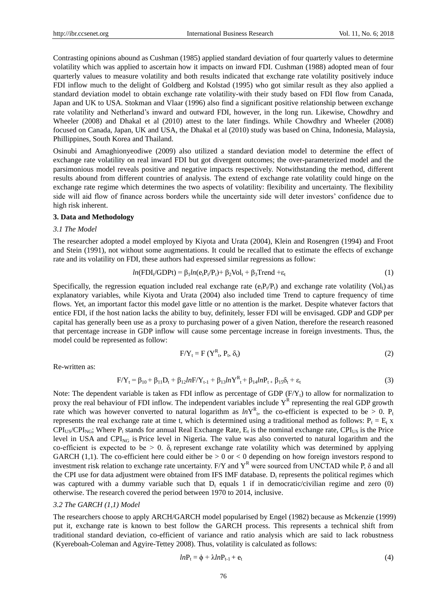Contrasting opinions abound as Cushman (1985) applied standard deviation of four quarterly values to determine volatility which was applied to ascertain how it impacts on inward FDI. Cushman (1988) adopted mean of four quarterly values to measure volatility and both results indicated that exchange rate volatility positively induce FDI inflow much to the delight of Goldberg and Kolstad (1995) who got similar result as they also applied a standard deviation model to obtain exchange rate volatility-with their study based on FDI flow from Canada, Japan and UK to USA. Stokman and Vlaar (1996) also find a significant positive relationship between exchange rate volatility and Netherland's inward and outward FDI, however, in the long run. Likewise, Chowdhry and Wheeler (2008) and Dhakal et al (2010) attest to the later findings. While Chowdhry and Wheeler (2008) focused on Canada, Japan, UK and USA, the Dhakal et al (2010) study was based on China, Indonesia, Malaysia, Phillippines, South Korea and Thailand.

Osinubi and Amaghionyeodiwe (2009) also utilized a standard deviation model to determine the effect of exchange rate volatility on real inward FDI but got divergent outcomes; the over-parameterized model and the parsimonious model reveals positive and negative impacts respectively. Notwithstanding the method, different results abound from different countries of analysis. The extend of exchange rate volatility could hinge on the exchange rate regime which determines the two aspects of volatility: flexibility and uncertainty. The flexibility side will aid flow of finance across borders while the uncertainty side will deter investors' confidence due to high risk inherent.

## **3. Data and Methodology**

## *3.1 The Model*

The researcher adopted a model employed by Kiyota and Urata (2004), Klein and Rosengren (1994) and Froot and Stein (1991), not without some augmentations. It could be recalled that to estimate the effects of exchange rate and its volatility on FDI, these authors had expressed similar regressions as follow:

$$
ln(FDI_{t}/GDPt) = \beta_{1}ln(e_{t}P_{t}/P_{t}) + \beta_{2}Vol_{t} + \beta_{3}Trend + \varepsilon_{t}
$$
\n(1)

Specifically, the regression equation included real exchange rate  $(e_tP_t/P_t)$  and exchange rate volatility (Vol<sub>t</sub>) as explanatory variables, while Kiyota and Urata (2004) also included time Trend to capture frequency of time flows. Yet, an important factor this model gave little or no attention is the market. Despite whatever factors that entice FDI, if the host nation lacks the ability to buy, definitely, lesser FDI will be envisaged. GDP and GDP per capital has generally been use as a proxy to purchasing power of a given Nation, therefore the research reasoned that percentage increase in GDP inflow will cause some percentage increase in foreign investments. Thus, the model could be represented as follow:

$$
F/Y_t = F(Y_{t}^R, P_t, \delta_t)
$$
 (2)

Re-written as:

$$
F/Y_t = \beta_{10} + \beta_{11}D_t + \beta_{12}lnF/Y_{t-1} + \beta_{13}lnY_{t} + \beta_{14}lnP_{t} + \beta_{15}\delta_t + \varepsilon_t
$$
\n(3)

Note: The dependent variable is taken as FDI inflow as percentage of GDP  $(F/Y_t)$  to allow for normalization to proxy the real behaviour of FDI inflow. The independent variables include  $Y^R$  representing the real GDP growth rate which was however converted to natural logarithm as  $lnY_{t}^{R}$ , the co-efficient is expected to be > 0.  $P_{t}$ represents the real exchange rate at time t, which is determined using a traditional method as follows:  $P_t = E_t x$  $CPI_{US}/CPI_{NG}$ ; Where  $P_t$  stands for annual Real Exchange Rate,  $E_t$  is the nominal exchange rate,  $CPI_{US}$  is the Price level in USA and  $\text{CPI}_{\text{NG}}$  is Price level in Nigeria. The value was also converted to natural logarithm and the co-efficient is expected to be  $> 0$ .  $\delta_t$  represent exchange rate volatility which was determined by applying GARCH (1,1). The co-efficient here could either be  $> 0$  or  $< 0$  depending on how foreign investors respond to investment risk relation to exchange rate uncertainty. F/Y and  $Y<sup>R</sup>$  were sourced from UNCTAD while P,  $\delta$  and all the CPI use for data adjustment were obtained from IFS IMF database.  $D_t$  represents the political regimes which was captured with a dummy variable such that  $D_t$  equals 1 if in democratic/civilian regime and zero (0) otherwise. The research covered the period between 1970 to 2014, inclusive.

#### *3.2 The GARCH (1,1) Model*

The researchers choose to apply ARCH/GARCH model popularised by Engel (1982) because as Mckenzie (1999) put it, exchange rate is known to best follow the GARCH process. This represents a technical shift from traditional standard deviation, co-efficient of variance and ratio analysis which are said to lack robustness (Kyereboah-Coleman and Agyire-Tettey 2008). Thus, volatility is calculated as follows:

$$
lnP_t = \phi + \lambda lnP_{t-1} + e_t \tag{4}
$$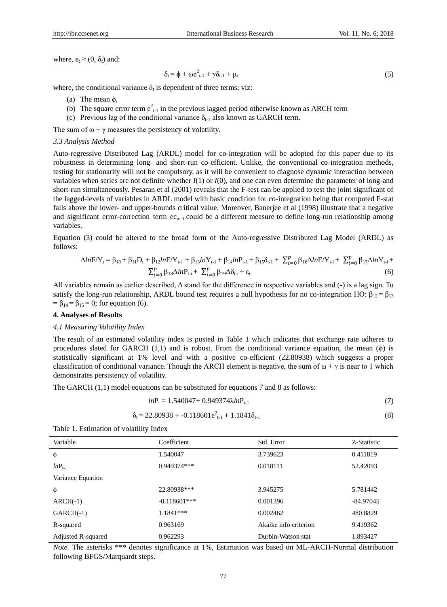where,  $e_t \approx (0, \delta_t)$  and:

$$
\delta_{t} = \phi + \omega e_{t-1}^{2} + \gamma \delta_{t-1} + \mu_{t}
$$
\n
$$
\tag{5}
$$

where, the conditional variance  $\delta_t$  is dependent of three terms; viz:

- (a) The mean ϕ,
- (b) The square error term  $e_{t-1}^2$  in the previous lagged period otherwise known as ARCH term
- (c) Previous lag of the conditional variance  $\delta_{t-1}$  also known as GARCH term.

The sum of  $\omega + \gamma$  measures the persistency of volatility.

#### *3.3 Analysis Method*

Auto-regressive Distributed Lag (ARDL) model for co-integration will be adopted for this paper due to its robustness in determining long- and short-run co-efficient. Unlike, the conventional co-integration methods, testing for stationarity will not be compulsory, as it will be convenient to diagnose dynamic interaction between variables when series are not definite whether *I*(1) or *I*(0), and one can even determine the parameter of long-and short-run simultaneously. Pesaran et al (2001) reveals that the F-test can be applied to test the joint significant of the lagged-levels of variables in ARDL model with basic condition for co-integration being that computed F-stat falls above the lower- and upper-bounds critical value. Moreover, Banerjee et al (1998) illustrate that a negative and significant error-correction term  $ec_{m-1}$  could be a different measure to define long-run relationship among variables.

Equation (3) could be altered to the broad form of the Auto-regressive Distributed Lag Model (ARDL) as follows:

$$
\Delta ln \mathbf{F} / \mathbf{Y}_{t} = \beta_{10} + \beta_{11} \mathbf{D}_{t} + \beta_{12} ln \mathbf{F} / \mathbf{Y}_{t-1} + \beta_{13} ln \mathbf{Y}_{t-1} + \beta_{14} ln \mathbf{P}_{t-1} + \beta_{15} \delta_{t-1} + \sum_{i=0}^{p} \beta_{16} \Delta ln \mathbf{F} / \mathbf{Y}_{t-i} + \sum_{i=0}^{p} \beta_{17} \Delta ln \mathbf{Y}_{t-i} + \sum_{i=0}^{p} \beta_{18} \Delta ln \mathbf{P}_{t-i} + \sum_{i=0}^{p} \beta_{19} \Delta \delta_{t-i} + \epsilon_{t}
$$
\n
$$
(6)
$$

All variables remain as earlier described,  $\Delta$  stand for the difference in respective variables and (-) is a lag sign. To satisfy the long-run relationship, ARDL bound test requires a null hypothesis for no co-integration HO:  $\beta_{12} = \beta_{13}$ =  $\beta_{14}$  =  $\beta_{15}$  = 0; for equation (6).

## **4. Analyses of Results**

#### *4.1 Measuring Volatility Index*

The result of an estimated volatility index is posted in Table 1 which indicates that exchange rate adheres to procedures slated for GARCH  $(1,1)$  and is robust. From the conditional variance equation, the mean  $(\phi)$  is statistically significant at 1% level and with a positive co-efficient (22.80938) which suggests a proper classification of conditional variance. Though the ARCH element is negative, the sum of  $\omega + \gamma$  is near to 1 which demonstrates persistency of volatility.

The GARCH (1,1) model equations can be substituted for equations 7 and 8 as follows:

$$
ln P_{t} = 1.540047 + 0.949374 \lambda ln P_{t-1}
$$
\n(7)

$$
\delta_{t} = 22.80938 + -0.118601e_{t-1}^{2} + 1.1841\delta_{t-1}
$$
\n(8)

Table 1. Estimation of volatility Index

| Variable           | Coefficient     | Std. Error            | Z-Statistic |
|--------------------|-----------------|-----------------------|-------------|
| $\phi$             | 1.540047        | 3.739623              | 0.411819    |
| $lnP_{t-1}$        | 0.949374***     | 0.018111              | 52.42093    |
| Variance Equation  |                 |                       |             |
| $\phi$             | 22.80938***     | 3.945275              | 5.781442    |
| $ARCH(-1)$         | $-0.118601$ *** | 0.001396              | $-84.97045$ |
| $GARCH(-1)$        | $1.1841***$     | 0.002462              | 480.8829    |
| R-squared          | 0.963169        | Akaike info criterion | 9.419362    |
| Adjusted R-squared | 0.962293        | Durbin-Watson stat    | 1.893427    |

*Note.* The asterisks \*\*\* denotes significance at 1%, Estimation was based on ML-ARCH-Normal distribution following BFGS/Marquardt steps.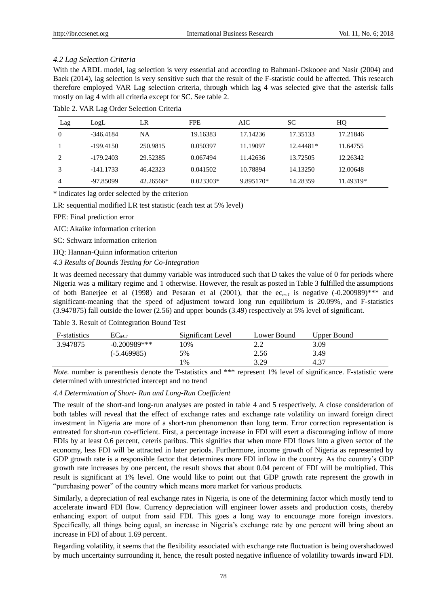## *4.2 Lag Selection Criteria*

With the ARDL model, lag selection is very essential and according to Bahmani-Oskooee and Nasir (2004) and Baek (2014), lag selection is very sensitive such that the result of the F-statistic could be affected. This research therefore employed VAR Lag selection criteria, through which lag 4 was selected give that the asterisk falls mostly on lag 4 with all criteria except for SC. See table 2.

| Lag      | LogL        | LR        | <b>FPE</b>  | AIC       | <b>SC</b> | HQ        |
|----------|-------------|-----------|-------------|-----------|-----------|-----------|
| $\theta$ | $-346.4184$ | NA        | 19.16383    | 17.14236  | 17.35133  | 17.21846  |
|          | $-199.4150$ | 250.9815  | 0.050397    | 11.19097  | 12.44481* | 11.64755  |
| 2        | $-179.2403$ | 29.52385  | 0.067494    | 11.42636  | 13.72505  | 12.26342  |
|          | $-141.1733$ | 46.42323  | 0.041502    | 10.78894  | 14.13250  | 12.00648  |
| 4        | -97.85099   | 42.26566* | $0.023303*$ | 9.895170* | 14.28359  | 11.49319* |

Table 2. VAR Lag Order Selection Criteria

\* indicates lag order selected by the criterion

LR: sequential modified LR test statistic (each test at 5% level)

FPE: Final prediction error

AIC: Akaike information criterion

SC: Schwarz information criterion

HQ: Hannan-Quinn information criterion

*4.3 Results of Bounds Testing for Co-Integration* 

It was deemed necessary that dummy variable was introduced such that D takes the value of 0 for periods where Nigeria was a military regime and 1 otherwise. However, the result as posted in Table 3 fulfilled the assumptions of both Banerjee et al (1998) and Pesaran et al (2001), that the  $ec_{m-1}$  is negative  $(-0.200989)$ <sup>\*\*\*</sup> and significant-meaning that the speed of adjustment toward long run equilibrium is 20.09%, and F-statistics (3.947875) fall outside the lower (2.56) and upper bounds (3.49) respectively at 5% level of significant.

Table 3. Result of Cointegration Bound Test

| F-statistics | $EC_{M-1}$     | Significant Level | Lower Bound | Upper Bound |
|--------------|----------------|-------------------|-------------|-------------|
| 3.947875     | $-0.200989***$ | .0%               | <u>.</u>    | 3.09        |
|              | (-5.469985)    | 5%                | 2.56        | 3.49        |
|              |                | $\frac{9}{6}$     | 3.29        | 4.37        |

*Note.* number is parenthesis denote the T-statistics and \*\*\* represent 1% level of significance. F-statistic were determined with unrestricted intercept and no trend

# *4.4 Determination of Short- Run and Long-Run Coefficient*

The result of the short-and long-run analyses are posted in table 4 and 5 respectively. A close consideration of both tables will reveal that the effect of exchange rates and exchange rate volatility on inward foreign direct investment in Nigeria are more of a short-run phenomenon than long term. Error correction representation is entreated for short-run co-efficient. First, a percentage increase in FDI will exert a discouraging inflow of more FDIs by at least 0.6 percent, ceteris paribus. This signifies that when more FDI flows into a given sector of the economy, less FDI will be attracted in later periods. Furthermore, income growth of Nigeria as represented by GDP growth rate is a responsible factor that determines more FDI inflow in the country. As the country's GDP growth rate increases by one percent, the result shows that about 0.04 percent of FDI will be multiplied. This result is significant at 1% level. One would like to point out that GDP growth rate represent the growth in "purchasing power" of the country which means more market for various products.

Similarly, a depreciation of real exchange rates in Nigeria, is one of the determining factor which mostly tend to accelerate inward FDI flow. Currency depreciation will engineer lower assets and production costs, thereby enhancing export of output from said FDI. This goes a long way to encourage more foreign investors. Specifically, all things being equal, an increase in Nigeria's exchange rate by one percent will bring about an increase in FDI of about 1.69 percent.

Regarding volatility, it seems that the flexibility associated with exchange rate fluctuation is being overshadowed by much uncertainty surrounding it, hence, the result posted negative influence of volatility towards inward FDI.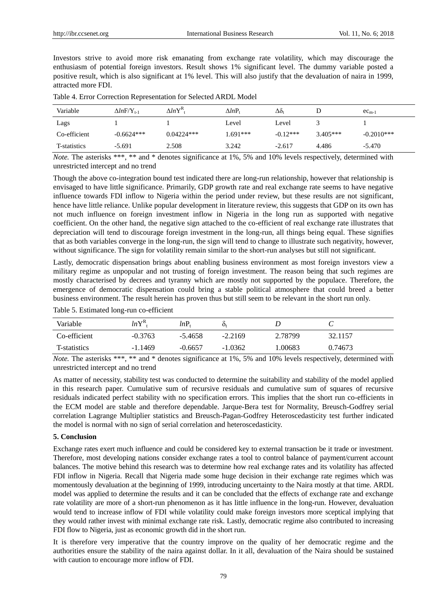Investors strive to avoid more risk emanating from exchange rate volatility, which may discourage the enthusiasm of potential foreign investors. Result shows 1% significant level. The dummy variable posted a positive result, which is also significant at 1% level. This will also justify that the devaluation of naira in 1999, attracted more FDI.

| Variable     | $\Delta ln$ F/Y <sub>t-1</sub> | $\Delta lnY^{\rm R}$ | $\Delta lnP_1$ | Δδ,        |            | $ec_{m-1}$   |
|--------------|--------------------------------|----------------------|----------------|------------|------------|--------------|
| Lags         |                                |                      | Level          | Level      |            |              |
| Co-efficient | $-0.6624***$                   | $0.04224***$         | $1.691***$     | $-0.12***$ | $3.405***$ | $-0.2010***$ |
| T-statistics | $-5.691$                       | 2.508                | 3.242          | $-2.617$   | 4.486      | $-5.470$     |

Table 4. Error Correction Representation for Selected ARDL Model

*Note.* The asterisks \*\*\*, \*\* and \* denotes significance at 1%, 5% and 10% levels respectively, determined with unrestricted intercept and no trend

Though the above co-integration bound test indicated there are long-run relationship, however that relationship is envisaged to have little significance. Primarily, GDP growth rate and real exchange rate seems to have negative influence towards FDI inflow to Nigeria within the period under review, but these results are not significant, hence have little reliance. Unlike popular development in literature review, this suggests that GDP on its own has not much influence on foreign investment inflow in Nigeria in the long run as supported with negative coefficient. On the other hand, the negative sign attached to the co-efficient of real exchange rate illustrates that depreciation will tend to discourage foreign investment in the long-run, all things being equal. These signifies that as both variables converge in the long-run, the sign will tend to change to illustrate such negativity, however, without significance. The sign for volatility remain similar to the short-run analyses but still not significant.

Lastly, democratic dispensation brings about enabling business environment as most foreign investors view a military regime as unpopular and not trusting of foreign investment. The reason being that such regimes are mostly characterised by decrees and tyranny which are mostly not supported by the populace. Therefore, the emergence of democratic dispensation could bring a stable political atmosphere that could breed a better business environment. The result herein has proven thus but still seem to be relevant in the short run only.

Table 5. Estimated long-run co-efficient

| Variable             | $lnY^R$   | lnP       | O+        |         |         |
|----------------------|-----------|-----------|-----------|---------|---------|
| Co-efficient         | $-0.3763$ | $-5.4658$ | $-2.2169$ | 2.78799 | 32.1157 |
| <b>T</b> -statistics | $-1.1469$ | $-0.6657$ | $-1.0362$ | .00683  | 0.74673 |

*Note.* The asterisks \*\*\*, \*\* and \* denotes significance at 1%, 5% and 10% levels respectively, determined with unrestricted intercept and no trend

As matter of necessity, stability test was conducted to determine the suitability and stability of the model applied in this research paper. Cumulative sum of recursive residuals and cumulative sum of squares of recursive residuals indicated perfect stability with no specification errors. This implies that the short run co-efficients in the ECM model are stable and therefore dependable. Jarque-Bera test for Normality, Breusch-Godfrey serial correlation Lagrange Multiplier statistics and Breusch-Pagan-Godfrey Heteroscedasticity test further indicated the model is normal with no sign of serial correlation and heteroscedasticity.

## **5. Conclusion**

Exchange rates exert much influence and could be considered key to external transaction be it trade or investment. Therefore, most developing nations consider exchange rates a tool to control balance of payment/current account balances. The motive behind this research was to determine how real exchange rates and its volatility has affected FDI inflow in Nigeria. Recall that Nigeria made some huge decision in their exchange rate regimes which was momentously devaluation at the beginning of 1999, introducing uncertainty to the Naira mostly at that time. ARDL model was applied to determine the results and it can be concluded that the effects of exchange rate and exchange rate volatility are more of a short-run phenomenon as it has little influence in the long-run. However, devaluation would tend to increase inflow of FDI while volatility could make foreign investors more sceptical implying that they would rather invest with minimal exchange rate risk. Lastly, democratic regime also contributed to increasing FDI flow to Nigeria, just as economic growth did in the short run.

It is therefore very imperative that the country improve on the quality of her democratic regime and the authorities ensure the stability of the naira against dollar. In it all, devaluation of the Naira should be sustained with caution to encourage more inflow of FDI.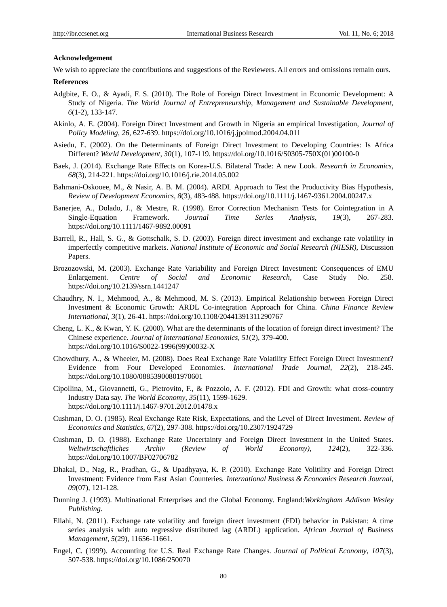## **Acknowledgement**

We wish to appreciate the contributions and suggestions of the Reviewers. All errors and omissions remain ours.

#### **References**

- Adgbite, E. O., & Ayadi, F. S. (2010). The Role of Foreign Direct Investment in Economic Development: A Study of Nigeria. *The World Journal of Entrepreneurship, Management and Sustainable Development, 6*(1-2), 133-147.
- Akinlo, A. E. (2004). Foreign Direct Investment and Growth in Nigeria an empirical Investigation, *Journal of Policy Modeling, 26,* 627-639. https://doi.org/10.1016/j.jpolmod.2004.04.011
- Asiedu, E. (2002). On the Determinants of Foreign Direct Investment to Developing Countries: Is Africa Different? *World Development*, *30*(1), 107-119. https://doi.org/10.1016/S0305-750X(01)00100-0
- Baek, J. (2014). Exchange Rate Effects on Korea-U.S. Bilateral Trade: A new Look. *Research in Economics, 68*(3), 214-221. https://doi.org/10.1016/j.rie.2014.05.002
- Bahmani-Oskooee, M., & Nasir, A. B. M. (2004). ARDL Approach to Test the Productivity Bias Hypothesis, *Review of Development Economics*, *8*(3), 483-488. https://doi.org/10.1111/j.1467-9361.2004.00247.x
- Banerjee, A., Dolado, J., & Mestre, R. (1998). Error Correction Mechanism Tests for Cointegration in A Single-Equation Framework. *Journal Time Series Analysis, 19*(3), 267-283. https://doi.org/10.1111/1467-9892.00091
- Barrell, R., Hall, S. G., & Gottschalk, S. D. (2003). Foreign direct investment and exchange rate volatility in imperfectly competitive markets. *National Institute of Economic and Social Research (NIESR),* Discussion Papers.
- Brozozowski, M. (2003). Exchange Rate Variability and Foreign Direct Investment: Consequences of EMU Enlargement. *Centre of Social and Economic Research*, Case Study No. 258. https://doi.org/10.2139/ssrn.1441247
- Chaudhry, N. I., Mehmood, A., & Mehmood, M. S. (2013). Empirical Relationship between Foreign Direct Investment & Economic Growth: ARDL Co-integration Approach for China. *China Finance Review International, 3*(1), 26-41. https://doi.org/10.1108/20441391311290767
- Cheng, L. K., & Kwan, Y. K. (2000). What are the determinants of the location of foreign direct investment? The Chinese experience. *Journal of International Economics*, *51*(2), 379-400. https://doi.org/10.1016/S0022-1996(99)00032-X
- Chowdhury, A., & Wheeler, M. (2008). Does Real Exchange Rate Volatility Effect Foreign Direct Investment? Evidence from Four Developed Economies. *International Trade Journal, 22*(2), 218-245. https://doi.org/10.1080/08853900801970601
- Cipollina, M., Giovannetti, G., Pietrovito, F., & Pozzolo, A. F. (2012). FDI and Growth: what cross-country Industry Data say. *The World Economy*, *35*(11), 1599-1629. https://doi.org/10.1111/j.1467-9701.2012.01478.x
- Cushman, D. O. (1985). Real Exchange Rate Risk, Expectations, and the Level of Direct Investment. *Review of Economics and Statistics*, *67*(2), 297-308. https://doi.org/10.2307/1924729
- Cushman, D. O. (1988). Exchange Rate Uncertainty and Foreign Direct Investment in the United States. *Weltwirtschaftliches Archiv (Review of World Economy)*, *124*(2), 322-336. https://doi.org/10.1007/BF02706782
- Dhakal, D., Nag, R., Pradhan, G., & Upadhyaya, K. P. (2010). Exchange Rate Volitility and Foreign Direct Investment: Evidence from East Asian Counteries*. International Business & Economics Research Journal, 09*(07), 121-128.
- Dunning J. (1993). Multinational Enterprises and the Global Economy. England:*Workingham Addison Wesley Publishing.*
- Ellahi, N. (2011). Exchange rate volatility and foreign direct investment (FDI) behavior in Pakistan: A time series analysis with auto regressive distributed lag (ARDL) application. *African Journal of Business Management, 5*(29), 11656-11661.
- Engel, C. (1999). Accounting for U.S. Real Exchange Rate Changes. *Journal of Political Economy*, *107*(3), 507-538. https://doi.org/10.1086/250070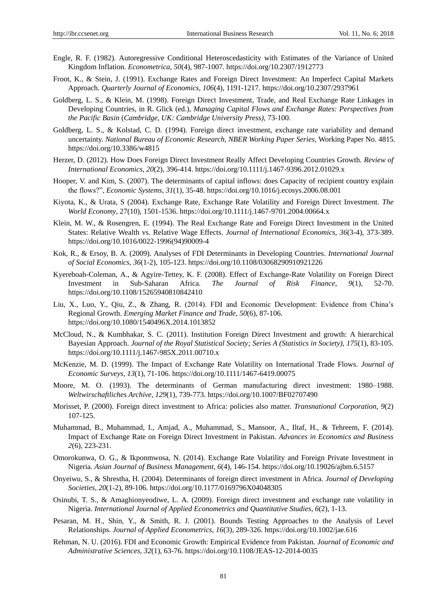- Engle, R. F. (1982). Autoregressive Conditional Heteroscedasticity with Estimates of the Variance of United Kingdom Inflation. *Econometrica, 50*(4), 987-1007. https://doi.org/10.2307/1912773
- Froot, K., & Stein, J. (1991). Exchange Rates and Foreign Direct Investment: An Imperfect Capital Markets Approach. *Quarterly Journal of Economics, 106*(4), 1191-1217. https://doi.org/10.2307/2937961
- Goldberg, L. S., & Klein, M. (1998). Foreign Direct Investment, Trade, and Real Exchange Rate Linkages in Developing Countries, in R. Glick (ed.), *Managing Capital Flows and Exchange Rates: Perspectives from the Pacific Basin* (*Cambridge, UK: Cambridge University Press),* 73-100.
- Goldberg, L. S., & Kolstad, C. D. (1994). Foreign direct investment, exchange rate variability and demand uncertainty. *National Bureau of Economic Research, NBER Working Paper Series,* Working Paper No. 4815. https://doi.org/10.3386/w4815
- Herzer, D. (2012). How Does Foreign Direct Investment Really Affect Developing Countries Growth. *Review of International Economics, 20*(2), 396-414. https://doi.org/10.1111/j.1467-9396.2012.01029.x
- Hooper, V. and Kim, S. (2007). The determinants of capital inflows: does Capacity of recipient country explain the flows?", *Economic Systems, 31*(1), 35-48. https://doi.org/10.1016/j.ecosys.2006.08.001
- Kiyota, K., & Urata, S (2004). Exchange Rate, Exchange Rate Volatility and Foreign Direct Investment. *The World Economy*, 27(10), 1501-1536. https://doi.org/10.1111/j.1467-9701.2004.00664.x
- Klein, M. W., & Rosengren, E. (1994). The Real Exchange Rate and Foreign Direct Investment in the United States: Relative Wealth vs. Relative Wage Effects. *Journal of International Economics*, *36*(3-4), 373-389. https://doi.org/10.1016/0022-1996(94)90009-4
- Kok, R., & Ersoy, B. A. (2009). Analyses of FDI Determinants in Developing Countries. *International Journal of Social Economics*, *36*(1-2), 105-123. https://doi.org/10.1108/03068290910921226
- Kyereboah-Coleman, A., & Agyire-Tettey, K. F. (2008). Effect of Exchange-Rate Volatility on Foreign Direct Investment in Sub-Saharan Africa. *The Journal of Risk Finance, 9*(1), 52-70. https://doi.org/10.1108/15265940810842410
- Liu, X., Luo, Y., Qiu, Z., & Zhang, R. (2014). FDI and Economic Development: Evidence from China's Regional Growth. *Emerging Market Finance and Trade*, *50*(6), 87-106. https://doi.org/10.1080/1540496X.2014.1013852
- McCloud, N., & Kumbhakar, S. C. (2011). Institution Foreign Direct Investment and growth: A hierarchical Bayesian Approach. *Journal of the Royal Statistical Society; Series A (Statistics in Society), 175*(1), 83-105. https://doi.org/10.1111/j.1467-985X.2011.00710.x
- McKenzie, M. D. (1999). The Impact of Exchange Rate Volatility on International Trade Flows. *Journal of Economic Surveys*, *13*(1), 71-106. https://doi.org/10.1111/1467-6419.00075
- Moore, M. O. (1993). The determinants of German manufacturing direct investment: 1980–1988. *Weltwirschaftliches Archive*, *129*(1), 739-773. https://doi.org/10.1007/BF02707490
- Morisset, P. (2000). Foreign direct investment to Africa: policies also matter. *Transnational Corporation*, *9*(2) 107-125.
- Muhammad, B., Muhammad, I., Amjad, A., Muhammad, S., Mansoor, A., Iltaf, H., & Tehreem, F. (2014). Impact of Exchange Rate on Foreign Direct Investment in Pakistan. *Advances in Economics and Business 2*(6), 223-231.
- Omorokunwa, O. G., & Ikponmwosa, N. (2014). Exchange Rate Volatility and Foreign Private Investment in Nigeria. *Asian Journal of Business Management, 6*(4), 146-154. https://doi.org/10.19026/ajbm.6.5157
- Onyeiwu, S., & Shrestha, H. (2004). Determinants of foreign direct investment in Africa. *Journal of Developing Societies*, *20*(1-2), 89-106. https://doi.org/10.1177/0169796X04048305
- Osinubi, T. S., & Amaghionyeodiwe, L. A. (2009). Foreign direct investment and exchange rate volatility in Nigeria. *International Journal of Applied Econometrics and Quantitative Studies*, *6*(2), 1-13.
- Pesaran, M. H., Shin, Y., & Smith, R. J. (2001). Bounds Testing Approaches to the Analysis of Level Relationships. *Journal of Applied Econometrics, 16*(3), 289-326. https://doi.org/10.1002/jae.616
- Rehman, N. U. (2016). FDI and Economic Growth: Empirical Evidence from Pakistan. *Journal of Economic and Administrative Sciences, 32*(1), 63-76. https://doi.org/10.1108/JEAS-12-2014-0035